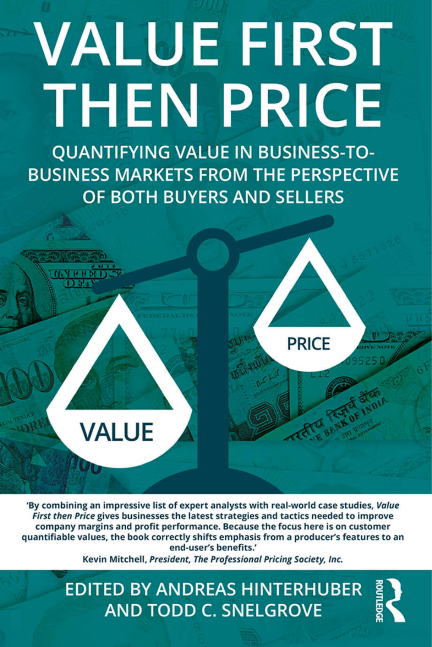# **VALUE FIRST** THEN PRICE

**QUANTIFYING VALUE IN BUSINESS-TO-BUSINESS MARKETS FROM THE PERSPECTIVE** OF BOTH BUYERS AND SELLERS

## **TRUSH** D SG. **PRICE VALUE**

'By combining an impressive list of expert analysts with real-world case studies, Value First then Price gives businesses the latest strategies and tactics needed to improve company margins and profit performance. Because the focus here is on customer quantifiable values, the book correctly shifts emphasis from a producer's features to an end-user's benefits.'

Kevin Mitchell, President, The Professional Pricing Society, Inc.

**EDITED BY ANDREAS HINTERHUBER AND TODD C. SNELGROVE**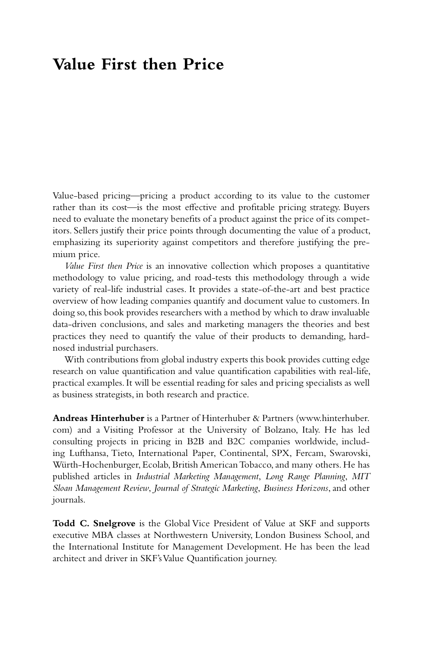### **Value First then Price**

Value-based pricing—pricing a product according to its value to the customer rather than its cost—is the most effective and profitable pricing strategy. Buyers need to evaluate the monetary beneits of a product against the price of its competitors. Sellers justify their price points through documenting the value of a product, emphasizing its superiority against competitors and therefore justifying the premium price.

*Value First then Price* is an innovative collection which proposes a quantitative methodology to value pricing, and road-tests this methodology through a wide variety of real-life industrial cases. It provides a state-of-the-art and best practice overview of how leading companies quantify and document value to customers. In doing so, this book provides researchers with a method by which to draw invaluable data-driven conclusions, and sales and marketing managers the theories and best practices they need to quantify the value of their products to demanding, hardnosed industrial purchasers.

With contributions from global industry experts this book provides cutting edge research on value quantification and value quantification capabilities with real-life, practical examples. It will be essential reading for sales and pricing specialists as well as business strategists, in both research and practice.

**Andreas Hinterhuber** is a Partner of Hinterhuber & Partners (www.hinterhuber. com) and a Visiting Professor at the University of Bolzano, Italy. He has led consulting projects in pricing in B2B and B2C companies worldwide, including Lufthansa, Tieto, International Paper, Continental, SPX, Fercam, Swarovski, Würth- Hochenburger, Ecolab, British American Tobacco, and many others. He has published articles in *Industrial Marketing Management*, *Long Range Planning*, *MIT Sloan Management Review*, *Journal of Strategic Marketing*, *Business Horizons*, and other journals.

**Todd C. Snelgrove** is the Global Vice President of Value at SKF and supports executive MBA classes at Northwestern University, London Business School, and the International Institute for Management Development. He has been the lead architect and driver in SKF's Value Quantification journey.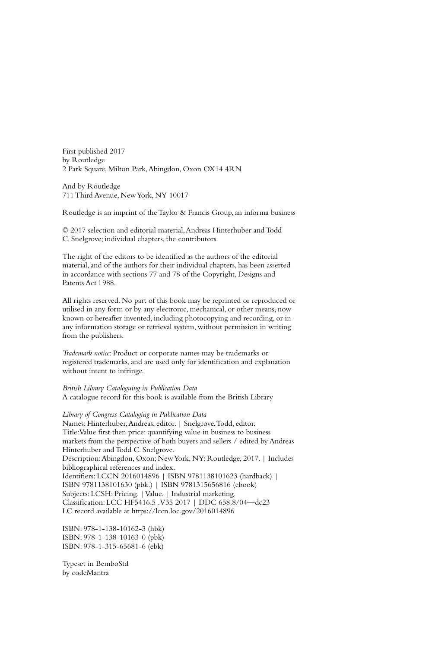First published 2017 by Routledge 2 Park Square, Milton Park, Abingdon, Oxon OX14 4RN

And by Routledge 711 Third Avenue, New York, NY 10017

Routledge is an imprint of the Taylor & Francis Group, an informa business

© 2017 selection and editorial material, Andreas Hinterhuber and Todd C. Snelgrove; individual chapters, the contributors

The right of the editors to be identified as the authors of the editorial material, and of the authors for their individual chapters, has been asserted in accordance with sections 77 and 78 of the Copyright, Designs and Patents Act 1988.

All rights reserved. No part of this book may be reprinted or reproduced or utilised in any form or by any electronic, mechanical, or other means, now known or hereafter invented, including photocopying and recording, or in any information storage or retrieval system, without permission in writing from the publishers.

*Trademark notice*: Product or corporate names may be trademarks or registered trademarks, and are used only for identification and explanation without intent to infringe.

*British Library Cataloguing in Publication Data*  A catalogue record for this book is available from the British Library

*Library of Congress Cataloging in Publication Data*  Names: Hinterhuber, Andreas, editor. | Snelgrove, Todd, editor. Title: Value first then price: quantifying value in business to business markets from the perspective of both buyers and sellers / edited by Andreas Hinterhuber and Todd C. Snelgrove. Description: Abingdon, Oxon; New York, NY: Routledge, 2017. | Includes bibliographical references and index. Identifiers: LCCN 2016014896 | ISBN 9781138101623 (hardback) | ISBN 9781138101630 (pbk.) | ISBN 9781315656816 (ebook) Subjects: LCSH: Pricing. | Value. | Industrial marketing. Classiication: LCC HF5416.5 .V35 2017 | DDC 658.8/04—dc23 LC record available at https://lccn.loc.gov/2016014896

ISBN: 978-1-138-10162-3 (hbk) ISBN: 978-1-138-10163-0 (pbk) ISBN: 978-1-315-65681-6 (ebk)

Typeset in BemboStd by codeMantra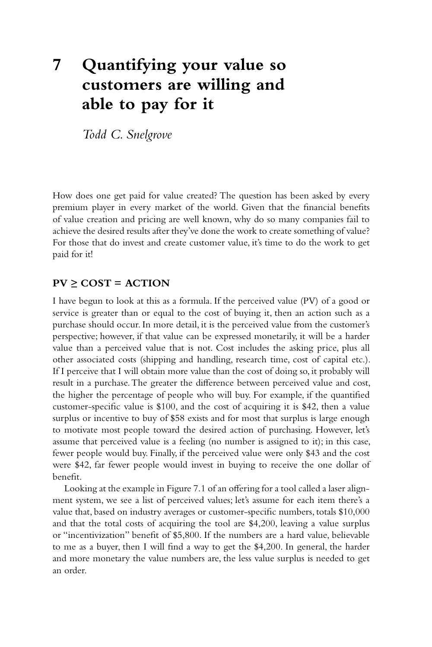## **7 Quantifying your value so customers are willing and able to pay for it**

*Todd C. Snelgrove*

How does one get paid for value created? The question has been asked by every premium player in every market of the world. Given that the financial benefits of value creation and pricing are well known, why do so many companies fail to achieve the desired results after they've done the work to create something of value? For those that do invest and create customer value, it's time to do the work to get paid for it!

#### $PV \geq$  COST = ACTION

I have begun to look at this as a formula. If the perceived value (PV) of a good or service is greater than or equal to the cost of buying it, then an action such as a purchase should occur. In more detail, it is the perceived value from the customer's perspective; however, if that value can be expressed monetarily, it will be a harder value than a perceived value that is not. Cost includes the asking price, plus all other associated costs (shipping and handling, research time, cost of capital etc.). If I perceive that I will obtain more value than the cost of doing so, it probably will result in a purchase. The greater the diference between perceived value and cost, the higher the percentage of people who will buy. For example, if the quantified customer-speciic value is \$100, and the cost of acquiring it is \$42, then a value surplus or incentive to buy of \$58 exists and for most that surplus is large enough to motivate most people toward the desired action of purchasing. However, let's assume that perceived value is a feeling (no number is assigned to it); in this case, fewer people would buy. Finally, if the perceived value were only \$43 and the cost were \$42, far fewer people would invest in buying to receive the one dollar of benefit.

Looking at the example in Figure 7.1 of an ofering for a tool called a laser alignment system, we see a list of perceived values; let's assume for each item there's a value that, based on industry averages or customer-specific numbers, totals \$10,000 and that the total costs of acquiring the tool are \$4,200, leaving a value surplus or "incentivization" beneit of \$5,800. If the numbers are a hard value, believable to me as a buyer, then I will find a way to get the \$4,200. In general, the harder and more monetary the value numbers are, the less value surplus is needed to get an order.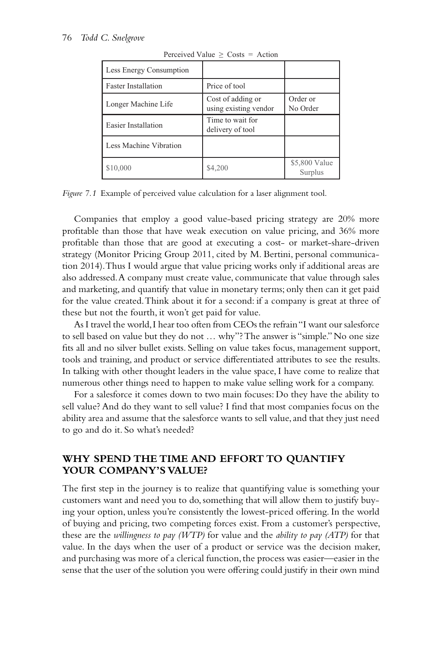| Less Energy Consumption    |                                            |                          |
|----------------------------|--------------------------------------------|--------------------------|
| <b>Faster Installation</b> | Price of tool                              |                          |
| Longer Machine Life        | Cost of adding or<br>using existing vendor | Order or<br>No Order     |
| Easier Installation        | Time to wait for<br>delivery of tool       |                          |
| Less Machine Vibration     |                                            |                          |
| \$10,000                   | \$4,200                                    | \$5,800 Value<br>Surplus |

Perceived Value  $\geq$  Costs = Action

*Figure 7.1* Example of perceived value calculation for a laser alignment tool.

Companies that employ a good value-based pricing strategy are 20% more profitable than those that have weak execution on value pricing, and 36% more profitable than those that are good at executing a cost- or market-share-driven strategy (Monitor Pricing Group 2011, cited by M. Bertini, personal communication 2014). Thus I would argue that value pricing works only if additional areas are also addressed. A company must create value, communicate that value through sales and marketing, and quantify that value in monetary terms; only then can it get paid for the value created. Think about it for a second: if a company is great at three of these but not the fourth, it won't get paid for value.

As I travel the world, I hear too often from CEOs the refrain "I want our salesforce to sell based on value but they do not … why"? The answer is "simple." No one size fits all and no silver bullet exists. Selling on value takes focus, management support, tools and training, and product or service diferentiated attributes to see the results. In talking with other thought leaders in the value space, I have come to realize that numerous other things need to happen to make value selling work for a company.

For a salesforce it comes down to two main focuses: Do they have the ability to sell value? And do they want to sell value? I find that most companies focus on the ability area and assume that the salesforce wants to sell value, and that they just need to go and do it. So what's needed?

#### **WHY SPEND THE TIME AND EFFORT TO QUANTIFY YOUR COMPANY'S VALUE?**

The first step in the journey is to realize that quantifying value is something your customers want and need you to do, something that will allow them to justify buying your option, unless you're consistently the lowest-priced ofering. In the world of buying and pricing, two competing forces exist. From a customer's perspective, these are the *willingness to pay (WTP)* for value and the *ability to pay (ATP)* for that value. In the days when the user of a product or service was the decision maker, and purchasing was more of a clerical function, the process was easier—easier in the sense that the user of the solution you were ofering could justify in their own mind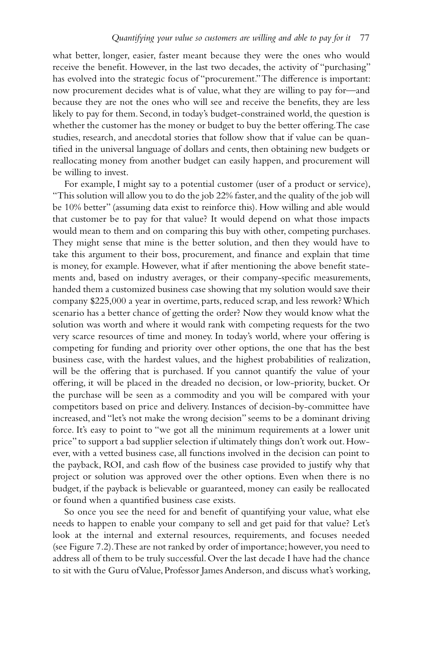what better, longer, easier, faster meant because they were the ones who would receive the benefit. However, in the last two decades, the activity of "purchasing" has evolved into the strategic focus of "procurement." The diference is important: now procurement decides what is of value, what they are willing to pay for—and because they are not the ones who will see and receive the benefits, they are less likely to pay for them. Second, in today's budget-constrained world, the question is whether the customer has the money or budget to buy the better ofering. The case studies, research, and anecdotal stories that follow show that if value can be quantified in the universal language of dollars and cents, then obtaining new budgets or reallocating money from another budget can easily happen, and procurement will be willing to invest.

For example, I might say to a potential customer (user of a product or service), "This solution will allow you to do the job 22% faster, and the quality of the job will be 10% better" (assuming data exist to reinforce this). How willing and able would that customer be to pay for that value? It would depend on what those impacts would mean to them and on comparing this buy with other, competing purchases. They might sense that mine is the better solution, and then they would have to take this argument to their boss, procurement, and finance and explain that time is money, for example. However, what if after mentioning the above benefit statements and, based on industry averages, or their company-specific measurements, handed them a customized business case showing that my solution would save their company \$225,000 a year in overtime, parts, reduced scrap, and less rework? Which scenario has a better chance of getting the order? Now they would know what the solution was worth and where it would rank with competing requests for the two very scarce resources of time and money. In today's world, where your ofering is competing for funding and priority over other options, the one that has the best business case, with the hardest values, and the highest probabilities of realization, will be the offering that is purchased. If you cannot quantify the value of your ofering, it will be placed in the dreaded no decision, or low-priority, bucket. Or the purchase will be seen as a commodity and you will be compared with your competitors based on price and delivery. Instances of decision-by-committee have increased, and "let's not make the wrong decision" seems to be a dominant driving force. It's easy to point to "we got all the minimum requirements at a lower unit price" to support a bad supplier selection if ultimately things don't work out. However, with a vetted business case, all functions involved in the decision can point to the payback, ROI, and cash flow of the business case provided to justify why that project or solution was approved over the other options. Even when there is no budget, if the payback is believable or guaranteed, money can easily be reallocated or found when a quantified business case exists.

So once you see the need for and benefit of quantifying your value, what else needs to happen to enable your company to sell and get paid for that value? Let's look at the internal and external resources, requirements, and focuses needed (see Figure 7.2). These are not ranked by order of importance; however, you need to address all of them to be truly successful. Over the last decade I have had the chance to sit with the Guru of Value, Professor James Anderson, and discuss what's working,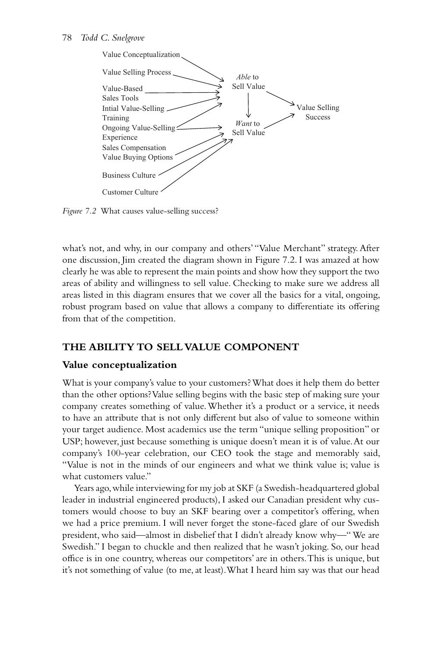#### 78 *Todd C. Snelgrove*



*Figure 7.2* What causes value-selling success?

what's not, and why, in our company and others' "Value Merchant" strategy. After one discussion, Jim created the diagram shown in Figure 7.2. I was amazed at how clearly he was able to represent the main points and show how they support the two areas of ability and willingness to sell value. Checking to make sure we address all areas listed in this diagram ensures that we cover all the basics for a vital, ongoing, robust program based on value that allows a company to diferentiate its ofering from that of the competition.

#### **THE ABILITY TO SELL VALUE COMPONENT**

#### **Value conceptualization**

What is your company's value to your customers? What does it help them do better than the other options? Value selling begins with the basic step of making sure your company creates something of value. Whether it's a product or a service, it needs to have an attribute that is not only diferent but also of value to someone within your target audience. Most academics use the term "unique selling proposition" or USP; however, just because something is unique doesn't mean it is of value. At our company's 100-year celebration, our CEO took the stage and memorably said, "Value is not in the minds of our engineers and what we think value is; value is what customers value."

Years ago, while interviewing for my job at SKF (a Swedish-headquartered global leader in industrial engineered products), I asked our Canadian president why customers would choose to buy an SKF bearing over a competitor's ofering, when we had a price premium. I will never forget the stone-faced glare of our Swedish president, who said—almost in disbelief that I didn't already know why—" We are Swedish." I began to chuckle and then realized that he wasn't joking. So, our head office is in one country, whereas our competitors' are in others. This is unique, but it's not something of value (to me, at least). What I heard him say was that our head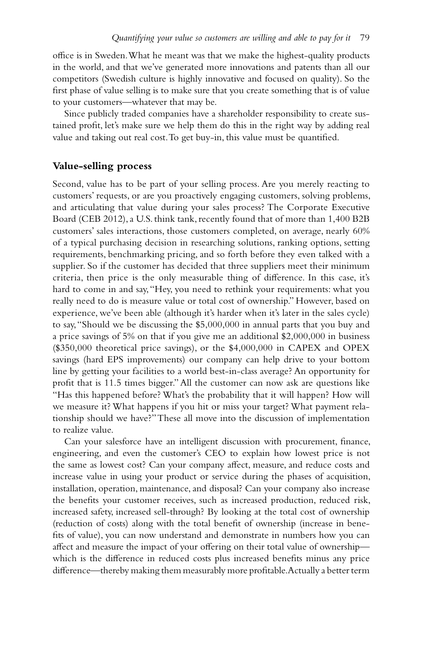office is in Sweden. What he meant was that we make the highest-quality products in the world, and that we've generated more innovations and patents than all our competitors (Swedish culture is highly innovative and focused on quality). So the first phase of value selling is to make sure that you create something that is of value to your customers—whatever that may be.

Since publicly traded companies have a shareholder responsibility to create sustained profit, let's make sure we help them do this in the right way by adding real value and taking out real cost. To get buy-in, this value must be quantified.

#### **Value-selling process**

Second, value has to be part of your selling process. Are you merely reacting to customers' requests, or are you proactively engaging customers, solving problems, and articulating that value during your sales process? The Corporate Executive Board (CEB 2012), a U.S. think tank, recently found that of more than 1,400 B2B customers' sales interactions, those customers completed, on average, nearly 60% of a typical purchasing decision in researching solutions, ranking options, setting requirements, benchmarking pricing, and so forth before they even talked with a supplier. So if the customer has decided that three suppliers meet their minimum criteria, then price is the only measurable thing of diference. In this case, it's hard to come in and say, "Hey, you need to rethink your requirements: what you really need to do is measure value or total cost of ownership." However, based on experience, we've been able (although it's harder when it's later in the sales cycle) to say, "Should we be discussing the \$5,000,000 in annual parts that you buy and a price savings of 5% on that if you give me an additional \$2,000,000 in business (\$350,000 theoretical price savings), or the \$4,000,000 in CAPEX and OPEX savings (hard EPS improvements) our company can help drive to your bottom line by getting your facilities to a world best-in-class average? An opportunity for profit that is 11.5 times bigger." All the customer can now ask are questions like "Has this happened before? What's the probability that it will happen? How will we measure it? What happens if you hit or miss your target? What payment relationship should we have?" These all move into the discussion of implementation to realize value.

Can your salesforce have an intelligent discussion with procurement, finance, engineering, and even the customer's CEO to explain how lowest price is not the same as lowest cost? Can your company afect, measure, and reduce costs and increase value in using your product or service during the phases of acquisition, installation, operation, maintenance, and disposal? Can your company also increase the benefits your customer receives, such as increased production, reduced risk, increased safety, increased sell-through? By looking at the total cost of ownership (reduction of costs) along with the total beneit of ownership (increase in benefits of value), you can now understand and demonstrate in numbers how you can afect and measure the impact of your ofering on their total value of ownership which is the difference in reduced costs plus increased benefits minus any price difference—thereby making them measurably more profitable. Actually a better term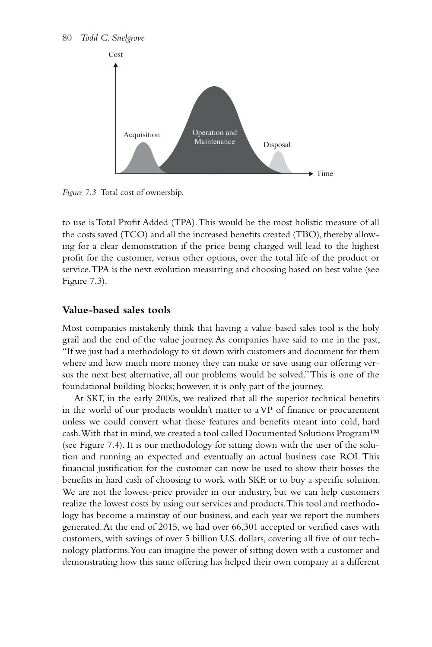

*Figure 7.3* Total cost of ownership.

to use is Total Profit Added (TPA). This would be the most holistic measure of all the costs saved (TCO) and all the increased benefits created (TBO), thereby allowing for a clear demonstration if the price being charged will lead to the highest profit for the customer, versus other options, over the total life of the product or service. TPA is the next evolution measuring and choosing based on best value (see Figure 7.3).

#### **Value-based sales tools**

Most companies mistakenly think that having a value-based sales tool is the holy grail and the end of the value journey. As companies have said to me in the past, "If we just had a methodology to sit down with customers and document for them where and how much more money they can make or save using our ofering versus the next best alternative, all our problems would be solved." This is one of the foundational building blocks; however, it is only part of the journey.

At SKF, in the early 2000s, we realized that all the superior technical benefits in the world of our products wouldn't matter to a VP of inance or procurement unless we could convert what those features and beneits meant into cold, hard cash. With that in mind, we created a tool called Documented Solutions Program™ (see Figure 7.4). It is our methodology for sitting down with the user of the solution and running an expected and eventually an actual business case ROI. This financial justification for the customer can now be used to show their bosses the benefits in hard cash of choosing to work with SKF, or to buy a specific solution. We are not the lowest-price provider in our industry, but we can help customers realize the lowest costs by using our services and products. This tool and methodology has become a mainstay of our business, and each year we report the numbers generated. At the end of 2015, we had over 66,301 accepted or verified cases with customers, with savings of over 5 billion U.S. dollars, covering all ive of our technology platforms. You can imagine the power of sitting down with a customer and demonstrating how this same ofering has helped their own company at a diferent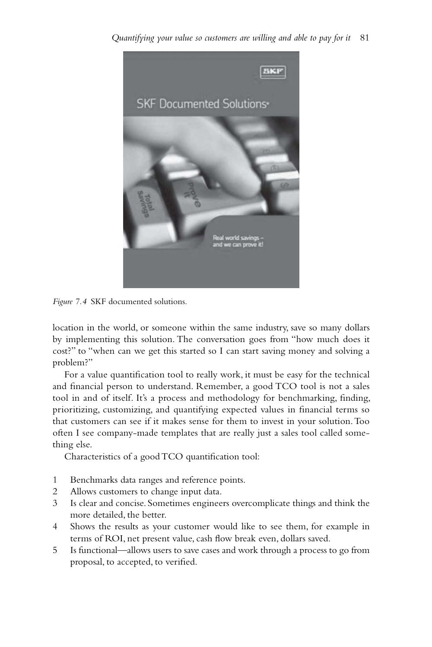

*Figure 7.4* SKF documented solutions.

location in the world, or someone within the same industry, save so many dollars by implementing this solution. The conversation goes from "how much does it cost?" to "when can we get this started so I can start saving money and solving a problem?"

For a value quantification tool to really work, it must be easy for the technical and financial person to understand. Remember, a good TCO tool is not a sales tool in and of itself. It's a process and methodology for benchmarking, finding, prioritizing, customizing, and quantifying expected values in financial terms so that customers can see if it makes sense for them to invest in your solution. Too often I see company-made templates that are really just a sales tool called something else.

Characteristics of a good TCO quantification tool:

- 1 Benchmarks data ranges and reference points.
- 2 Allows customers to change input data.
- 3 Is clear and concise. Sometimes engineers overcomplicate things and think the more detailed, the better.
- 4 Shows the results as your customer would like to see them, for example in terms of ROI, net present value, cash flow break even, dollars saved.
- 5 Is functional—allows users to save cases and work through a process to go from proposal, to accepted, to verified.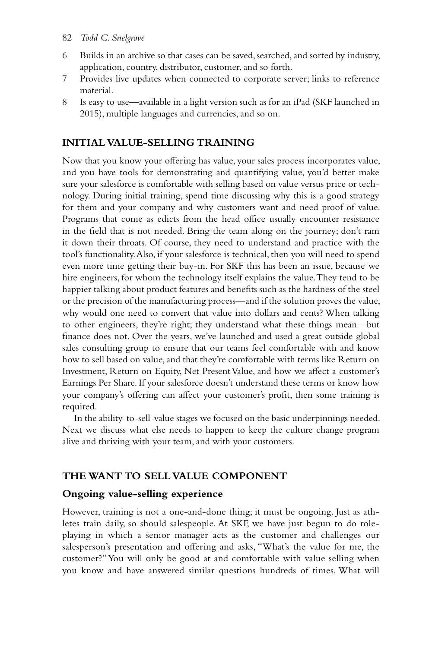#### 82 *Todd C. Snelgrove*

- 6 Builds in an archive so that cases can be saved, searched, and sorted by industry, application, country, distributor, customer, and so forth.
- 7 Provides live updates when connected to corporate server; links to reference material.
- 8 Is easy to use—available in a light version such as for an iPad (SKF launched in 2015), multiple languages and currencies, and so on.

#### **INITIAL VALUE-SELLING TRAINING**

Now that you know your ofering has value, your sales process incorporates value, and you have tools for demonstrating and quantifying value, you'd better make sure your salesforce is comfortable with selling based on value versus price or technology. During initial training, spend time discussing why this is a good strategy for them and your company and why customers want and need proof of value. Programs that come as edicts from the head office usually encounter resistance in the ield that is not needed. Bring the team along on the journey; don't ram it down their throats. Of course, they need to understand and practice with the tool's functionality. Also, if your salesforce is technical, then you will need to spend even more time getting their buy-in. For SKF this has been an issue, because we hire engineers, for whom the technology itself explains the value. They tend to be happier talking about product features and benefits such as the hardness of the steel or the precision of the manufacturing process—and if the solution proves the value, why would one need to convert that value into dollars and cents? When talking to other engineers, they're right; they understand what these things mean—but finance does not. Over the years, we've launched and used a great outside global sales consulting group to ensure that our teams feel comfortable with and know how to sell based on value, and that they're comfortable with terms like Return on Investment, Return on Equity, Net Present Value, and how we afect a customer's Earnings Per Share. If your salesforce doesn't understand these terms or know how your company's offering can affect your customer's profit, then some training is required.

In the ability-to-sell-value stages we focused on the basic underpinnings needed. Next we discuss what else needs to happen to keep the culture change program alive and thriving with your team, and with your customers.

#### **THE WANT TO SELL VALUE COMPONENT**

#### **Ongoing value-selling experience**

However, training is not a one-and-done thing; it must be ongoing. Just as athletes train daily, so should salespeople. At SKF, we have just begun to do roleplaying in which a senior manager acts as the customer and challenges our salesperson's presentation and offering and asks, "What's the value for me, the customer?" You will only be good at and comfortable with value selling when you know and have answered similar questions hundreds of times. What will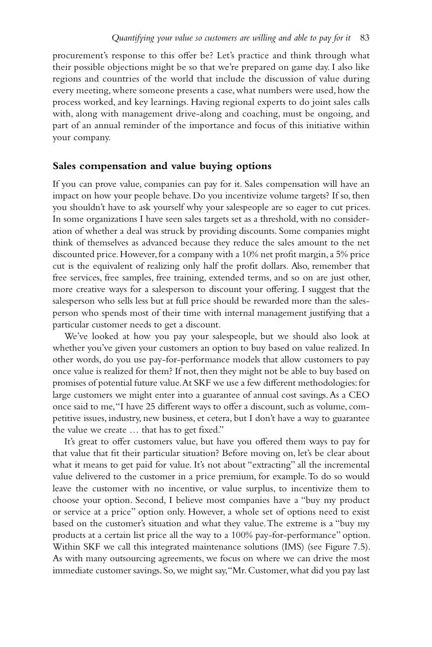procurement's response to this ofer be? Let's practice and think through what their possible objections might be so that we're prepared on game day. I also like regions and countries of the world that include the discussion of value during every meeting, where someone presents a case, what numbers were used, how the process worked, and key learnings. Having regional experts to do joint sales calls with, along with management drive-along and coaching, must be ongoing, and part of an annual reminder of the importance and focus of this initiative within your company.

#### **Sales compensation and value buying options**

If you can prove value, companies can pay for it. Sales compensation will have an impact on how your people behave. Do you incentivize volume targets? If so, then you shouldn't have to ask yourself why your salespeople are so eager to cut prices. In some organizations I have seen sales targets set as a threshold, with no consideration of whether a deal was struck by providing discounts. Some companies might think of themselves as advanced because they reduce the sales amount to the net discounted price. However, for a company with a 10% net profit margin, a 5% price cut is the equivalent of realizing only half the profit dollars. Also, remember that free services, free samples, free training, extended terms, and so on are just other, more creative ways for a salesperson to discount your ofering. I suggest that the salesperson who sells less but at full price should be rewarded more than the salesperson who spends most of their time with internal management justifying that a particular customer needs to get a discount.

We've looked at how you pay your salespeople, but we should also look at whether you've given your customers an option to buy based on value realized. In other words, do you use pay-for-performance models that allow customers to pay once value is realized for them? If not, then they might not be able to buy based on promises of potential future value. At SKF we use a few diferent methodologies: for large customers we might enter into a guarantee of annual cost savings. As a CEO once said to me, "I have 25 diferent ways to ofer a discount, such as volume, competitive issues, industry, new business, et cetera, but I don't have a way to guarantee the value we create ... that has to get fixed."

It's great to offer customers value, but have you offered them ways to pay for that value that it their particular situation? Before moving on, let's be clear about what it means to get paid for value. It's not about "extracting" all the incremental value delivered to the customer in a price premium, for example. To do so would leave the customer with no incentive, or value surplus, to incentivize them to choose your option. Second, I believe most companies have a "buy my product or service at a price" option only. However, a whole set of options need to exist based on the customer's situation and what they value. The extreme is a "buy my products at a certain list price all the way to a 100% pay-for-performance" option. Within SKF we call this integrated maintenance solutions (IMS) (see Figure 7.5). As with many outsourcing agreements, we focus on where we can drive the most immediate customer savings. So, we might say, "Mr. Customer, what did you pay last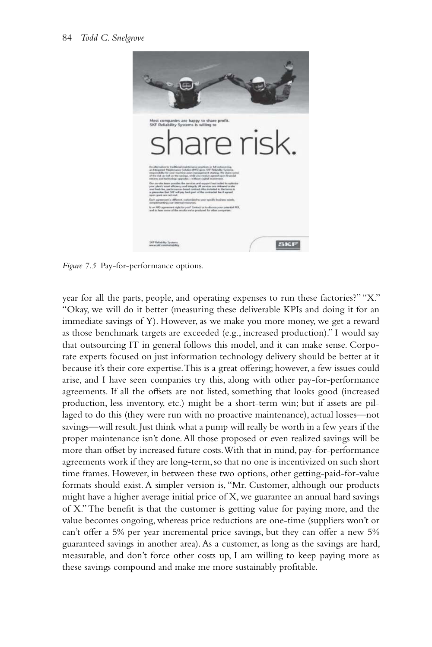

*Figure 7.5* Pay-for-performance options.

year for all the parts, people, and operating expenses to run these factories?" "X." "Okay, we will do it better (measuring these deliverable KPIs and doing it for an immediate savings of Y). However, as we make you more money, we get a reward as those benchmark targets are exceeded (e.g., increased production)." I would say that outsourcing IT in general follows this model, and it can make sense. Corporate experts focused on just information technology delivery should be better at it because it's their core expertise. This is a great ofering; however, a few issues could arise, and I have seen companies try this, along with other pay-for-performance agreements. If all the ofsets are not listed, something that looks good (increased production, less inventory, etc.) might be a short-term win; but if assets are pillaged to do this (they were run with no proactive maintenance), actual losses—not savings—will result. Just think what a pump will really be worth in a few years if the proper maintenance isn't done. All those proposed or even realized savings will be more than ofset by increased future costs. With that in mind, pay-for-performance agreements work if they are long-term, so that no one is incentivized on such short time frames. However, in between these two options, other getting-paid-for-value formats should exist. A simpler version is, "Mr. Customer, although our products might have a higher average initial price of  $X$ , we guarantee an annual hard savings of X." The beneit is that the customer is getting value for paying more, and the value becomes ongoing, whereas price reductions are one-time (suppliers won't or can't offer a 5% per year incremental price savings, but they can offer a new 5% guaranteed savings in another area). As a customer, as long as the savings are hard, measurable, and don't force other costs up, I am willing to keep paying more as these savings compound and make me more sustainably profitable.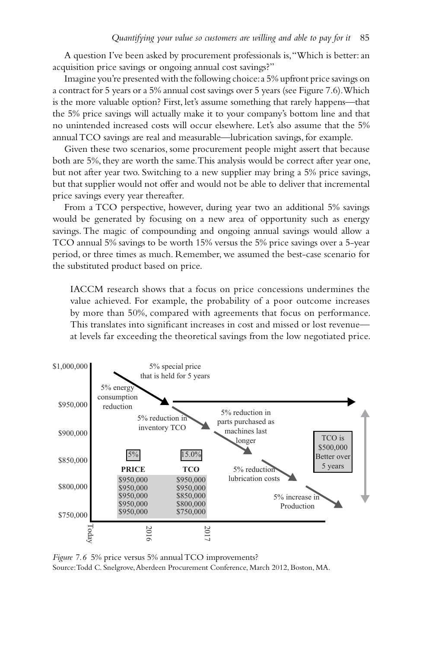A question I've been asked by procurement professionals is, "Which is better: an acquisition price savings or ongoing annual cost savings?"

Imagine you're presented with the following choice: a 5% upfront price savings on a contract for 5 years or a 5% annual cost savings over 5 years (see Figure 7.6). Which is the more valuable option? First, let's assume something that rarely happens—that the 5% price savings will actually make it to your company's bottom line and that no unintended increased costs will occur elsewhere. Let's also assume that the 5% annual TCO savings are real and measurable—lubrication savings, for example.

Given these two scenarios, some procurement people might assert that because both are 5%, they are worth the same. This analysis would be correct after year one, but not after year two. Switching to a new supplier may bring a 5% price savings, but that supplier would not offer and would not be able to deliver that incremental price savings every year thereafter.

From a TCO perspective, however, during year two an additional 5% savings would be generated by focusing on a new area of opportunity such as energy savings. The magic of compounding and ongoing annual savings would allow a TCO annual 5% savings to be worth 15% versus the 5% price savings over a 5-year period, or three times as much. Remember, we assumed the best-case scenario for the substituted product based on price.

IACCM research shows that a focus on price concessions undermines the value achieved. For example, the probability of a poor outcome increases by more than 50%, compared with agreements that focus on performance. This translates into significant increases in cost and missed or lost revenue at levels far exceeding the theoretical savings from the low negotiated price.



*Figure 7.6* 5% price versus 5% annual TCO improvements? Source: Todd C. Snelgrove, Aberdeen Procurement Conference, March 2012, Boston, MA.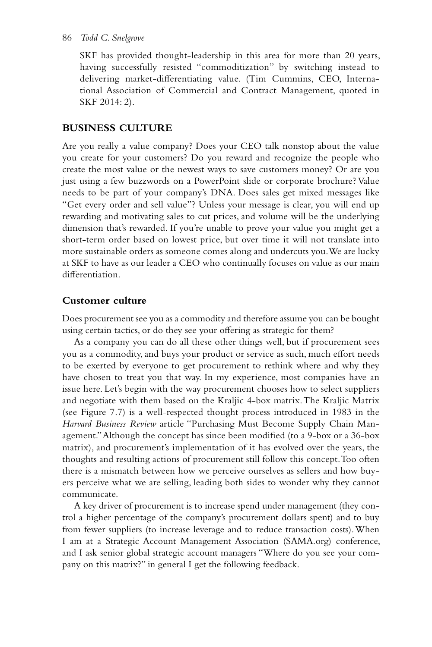#### 86 *Todd C. Snelgrove*

SKF has provided thought-leadership in this area for more than 20 years, having successfully resisted "commoditization" by switching instead to delivering market-diferentiating value. (Tim Cummins, CEO, International Association of Commercial and Contract Management, quoted in SKF 2014: 2).

#### **BUSINESS CULTURE**

Are you really a value company? Does your CEO talk nonstop about the value you create for your customers? Do you reward and recognize the people who create the most value or the newest ways to save customers money? Or are you just using a few buzzwords on a PowerPoint slide or corporate brochure? Value needs to be part of your company's DNA. Does sales get mixed messages like "Get every order and sell value"? Unless your message is clear, you will end up rewarding and motivating sales to cut prices, and volume will be the underlying dimension that's rewarded. If you're unable to prove your value you might get a short-term order based on lowest price, but over time it will not translate into more sustainable orders as someone comes along and undercuts you. We are lucky at SKF to have as our leader a CEO who continually focuses on value as our main diferentiation.

#### **Customer culture**

Does procurement see you as a commodity and therefore assume you can be bought using certain tactics, or do they see your offering as strategic for them?

As a company you can do all these other things well, but if procurement sees you as a commodity, and buys your product or service as such, much effort needs to be exerted by everyone to get procurement to rethink where and why they have chosen to treat you that way. In my experience, most companies have an issue here. Let's begin with the way procurement chooses how to select suppliers and negotiate with them based on the Kraljic 4-box matrix. The Kraljic Matrix (see Figure 7.7) is a well-respected thought process introduced in 1983 in the *Harvard Business Review* article "Purchasing Must Become Supply Chain Management." Although the concept has since been modified (to a 9-box or a 36-box matrix), and procurement's implementation of it has evolved over the years, the thoughts and resulting actions of procurement still follow this concept. Too often there is a mismatch between how we perceive ourselves as sellers and how buyers perceive what we are selling, leading both sides to wonder why they cannot communicate.

A key driver of procurement is to increase spend under management (they control a higher percentage of the company's procurement dollars spent) and to buy from fewer suppliers (to increase leverage and to reduce transaction costs). When I am at a Strategic Account Management Association (SAMA.org) conference, and I ask senior global strategic account managers "Where do you see your company on this matrix?" in general I get the following feedback.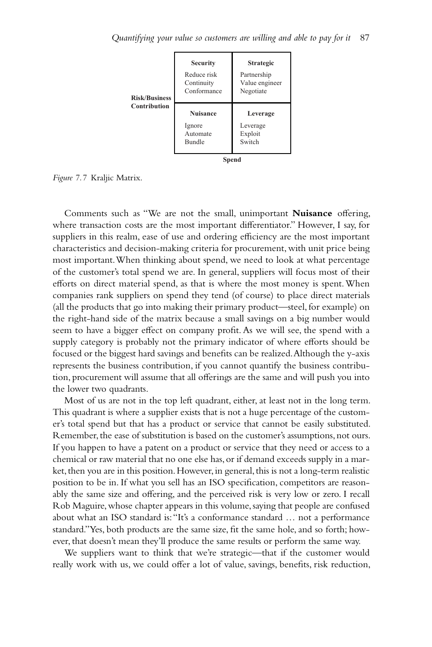

*Figure 7.7* Kraljic Matrix.

Comments such as "We are not the small, unimportant **Nuisance** ofering, where transaction costs are the most important diferentiator." However, I say, for suppliers in this realm, ease of use and ordering efficiency are the most important characteristics and decision-making criteria for procurement, with unit price being most important. When thinking about spend, we need to look at what percentage of the customer's total spend we are. In general, suppliers will focus most of their eforts on direct material spend, as that is where the most money is spent. When companies rank suppliers on spend they tend (of course) to place direct materials (all the products that go into making their primary product—steel, for example) on the right-hand side of the matrix because a small savings on a big number would seem to have a bigger effect on company profit. As we will see, the spend with a supply category is probably not the primary indicator of where eforts should be focused or the biggest hard savings and beneits can be realized. Although the y-axis represents the business contribution, if you cannot quantify the business contribution, procurement will assume that all oferings are the same and will push you into the lower two quadrants.

Most of us are not in the top left quadrant, either, at least not in the long term. This quadrant is where a supplier exists that is not a huge percentage of the customer's total spend but that has a product or service that cannot be easily substituted. Remember, the ease of substitution is based on the customer's assumptions, not ours. If you happen to have a patent on a product or service that they need or access to a chemical or raw material that no one else has, or if demand exceeds supply in a market, then you are in this position. However, in general, this is not a long-term realistic position to be in. If what you sell has an ISO speciication, competitors are reasonably the same size and ofering, and the perceived risk is very low or zero. I recall Rob Maguire, whose chapter appears in this volume, saying that people are confused about what an ISO standard is: "It's a conformance standard … not a performance standard." Yes, both products are the same size, it the same hole, and so forth; however, that doesn't mean they'll produce the same results or perform the same way.

We suppliers want to think that we're strategic—that if the customer would really work with us, we could offer a lot of value, savings, benefits, risk reduction,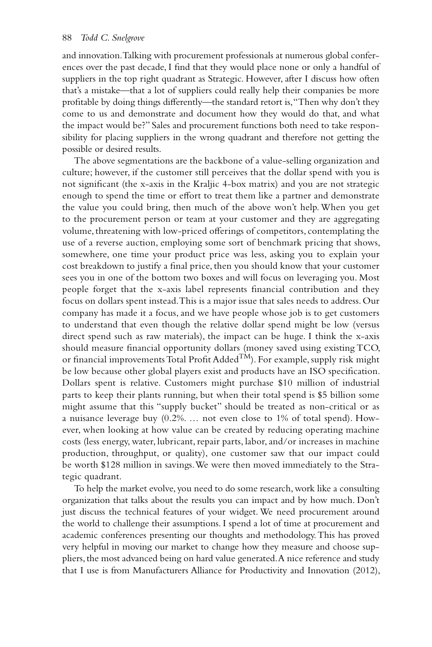and innovation. Talking with procurement professionals at numerous global conferences over the past decade, I find that they would place none or only a handful of suppliers in the top right quadrant as Strategic. However, after I discuss how often that's a mistake—that a lot of suppliers could really help their companies be more profitable by doing things differently—the standard retort is, "Then why don't they come to us and demonstrate and document how they would do that, and what the impact would be?" Sales and procurement functions both need to take responsibility for placing suppliers in the wrong quadrant and therefore not getting the possible or desired results.

The above segmentations are the backbone of a value-selling organization and culture; however, if the customer still perceives that the dollar spend with you is not signiicant (the x-axis in the Kraljic 4-box matrix) and you are not strategic enough to spend the time or effort to treat them like a partner and demonstrate the value you could bring, then much of the above won't help. When you get to the procurement person or team at your customer and they are aggregating volume, threatening with low-priced oferings of competitors, contemplating the use of a reverse auction, employing some sort of benchmark pricing that shows, somewhere, one time your product price was less, asking you to explain your cost breakdown to justify a final price, then you should know that your customer sees you in one of the bottom two boxes and will focus on leveraging you. Most people forget that the x-axis label represents inancial contribution and they focus on dollars spent instead. This is a major issue that sales needs to address. Our company has made it a focus, and we have people whose job is to get customers to understand that even though the relative dollar spend might be low (versus direct spend such as raw materials), the impact can be huge. I think the x-axis should measure financial opportunity dollars (money saved using existing TCO, or financial improvements Total Profit Added<sup>TM</sup>). For example, supply risk might be low because other global players exist and products have an ISO specification. Dollars spent is relative. Customers might purchase \$10 million of industrial parts to keep their plants running, but when their total spend is \$5 billion some might assume that this "supply bucket" should be treated as non-critical or as a nuisance leverage buy (0.2%. … not even close to 1% of total spend). However, when looking at how value can be created by reducing operating machine costs (less energy, water, lubricant, repair parts, labor, and/or increases in machine production, throughput, or quality), one customer saw that our impact could be worth \$128 million in savings. We were then moved immediately to the Strategic quadrant.

To help the market evolve, you need to do some research, work like a consulting organization that talks about the results you can impact and by how much. Don't just discuss the technical features of your widget. We need procurement around the world to challenge their assumptions. I spend a lot of time at procurement and academic conferences presenting our thoughts and methodology. This has proved very helpful in moving our market to change how they measure and choose suppliers, the most advanced being on hard value generated. A nice reference and study that I use is from Manufacturers Alliance for Productivity and Innovation (2012),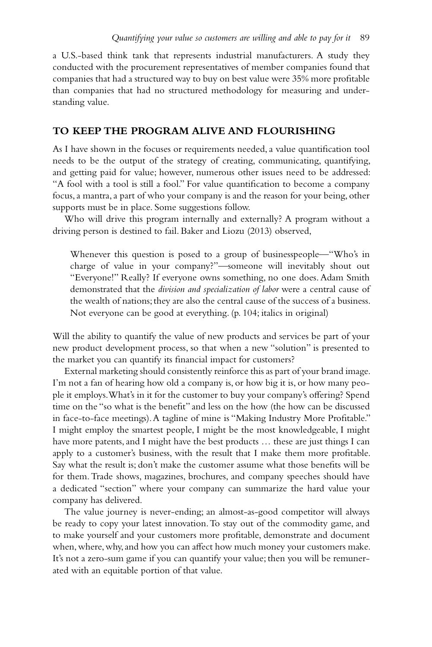a U.S.-based think tank that represents industrial manufacturers. A study they conducted with the procurement representatives of member companies found that companies that had a structured way to buy on best value were 35% more profitable than companies that had no structured methodology for measuring and understanding value.

#### **TO KEEP THE PROGRAM ALIVE AND FLOURISHING**

As I have shown in the focuses or requirements needed, a value quantification tool needs to be the output of the strategy of creating, communicating, quantifying, and getting paid for value; however, numerous other issues need to be addressed: "A fool with a tool is still a fool." For value quantification to become a company focus, a mantra, a part of who your company is and the reason for your being, other supports must be in place. Some suggestions follow.

Who will drive this program internally and externally? A program without a driving person is destined to fail. Baker and Liozu (2013) observed,

Whenever this question is posed to a group of businesspeople—"Who's in charge of value in your company?"—someone will inevitably shout out "Everyone!" Really? If everyone owns something, no one does. Adam Smith demonstrated that the *division and specialization of labor* were a central cause of the wealth of nations; they are also the central cause of the success of a business. Not everyone can be good at everything. (p. 104; italics in original)

Will the ability to quantify the value of new products and services be part of your new product development process, so that when a new "solution" is presented to the market you can quantify its financial impact for customers?

External marketing should consistently reinforce this as part of your brand image. I'm not a fan of hearing how old a company is, or how big it is, or how many people it employs. What's in it for the customer to buy your company's ofering? Spend time on the "so what is the benefit" and less on the how (the how can be discussed in face-to-face meetings). A tagline of mine is "Making Industry More Profitable." I might employ the smartest people, I might be the most knowledgeable, I might have more patents, and I might have the best products … these are just things I can apply to a customer's business, with the result that I make them more profitable. Say what the result is; don't make the customer assume what those benefits will be for them. Trade shows, magazines, brochures, and company speeches should have a dedicated "section" where your company can summarize the hard value your company has delivered.

The value journey is never-ending; an almost-as-good competitor will always be ready to copy your latest innovation. To stay out of the commodity game, and to make yourself and your customers more profitable, demonstrate and document when, where, why, and how you can affect how much money your customers make. It's not a zero-sum game if you can quantify your value; then you will be remunerated with an equitable portion of that value.